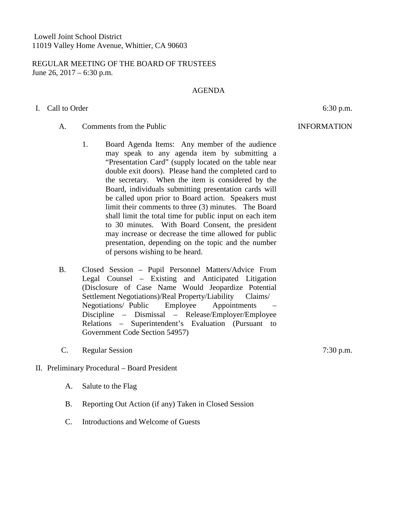### REGULAR MEETING OF THE BOARD OF TRUSTEES June 26,  $2017 - 6:30$  p.m.

### AGENDA

# I. Call to Order 6:30 p.m.

# A. Comments from the Public Comments of the Public INFORMATION

- 1. Board Agenda Items: Any member of the audience may speak to any agenda item by submitting a "Presentation Card" (supply located on the table near double exit doors). Please hand the completed card to the secretary. When the item is considered by the Board, individuals submitting presentation cards will be called upon prior to Board action. Speakers must limit their comments to three (3) minutes. The Board shall limit the total time for public input on each item to 30 minutes. With Board Consent, the president may increase or decrease the time allowed for public presentation, depending on the topic and the number of persons wishing to be heard.
- B. Closed Session Pupil Personnel Matters/Advice From Legal Counsel – Existing and Anticipated Litigation (Disclosure of Case Name Would Jeopardize Potential Settlement Negotiations)/Real Property/Liability Claims/ Negotiations/ Public Employee Appointments – Discipline – Dismissal – Release/Employer/Employee Relations – Superintendent's Evaluation (Pursuant to Government Code Section 54957)
- C. Regular Session 7:30 p.m.

## II. Preliminary Procedural – Board President

- A. Salute to the Flag
- B. Reporting Out Action (if any) Taken in Closed Session
- C. Introductions and Welcome of Guests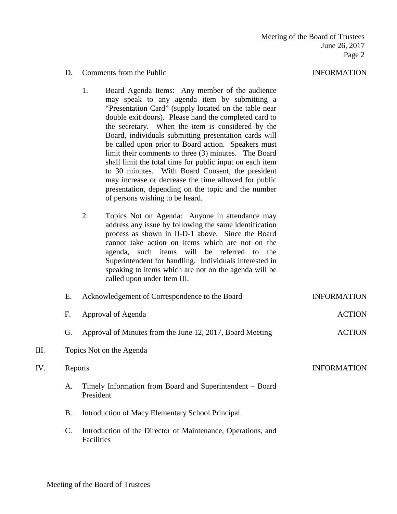#### D. Comments from the Public INFORMATION

- 1. Board Agenda Items: Any member of the audience may speak to any agenda item by submitting a "Presentation Card" (supply located on the table near double exit doors). Please hand the completed card to the secretary. When the item is considered by the Board, individuals submitting presentation cards will be called upon prior to Board action. Speakers must limit their comments to three (3) minutes. The Board shall limit the total time for public input on each item to 30 minutes. With Board Consent, the president may increase or decrease the time allowed for public presentation, depending on the topic and the number of persons wishing to be heard.
- 2. Topics Not on Agenda: Anyone in attendance may address any issue by following the same identification process as shown in II-D-1 above. Since the Board cannot take action on items which are not on the agenda, such items will be referred to the Superintendent for handling. Individuals interested in speaking to items which are not on the agenda will be called upon under Item III.

|     | Е.             | Acknowledgement of Correspondence to the Board                             | <b>INFORMATION</b> |  |
|-----|----------------|----------------------------------------------------------------------------|--------------------|--|
|     | F.             | Approval of Agenda                                                         | <b>ACTION</b>      |  |
|     | G.             | Approval of Minutes from the June 12, 2017, Board Meeting                  | <b>ACTION</b>      |  |
| Ш.  |                | Topics Not on the Agenda                                                   |                    |  |
| IV. | Reports        |                                                                            | <b>INFORMATION</b> |  |
|     | А.             | Timely Information from Board and Superintendent – Board<br>President      |                    |  |
|     | <b>B.</b>      | Introduction of Macy Elementary School Principal                           |                    |  |
|     | $\mathbf{C}$ . | Introduction of the Director of Maintenance, Operations, and<br>Facilities |                    |  |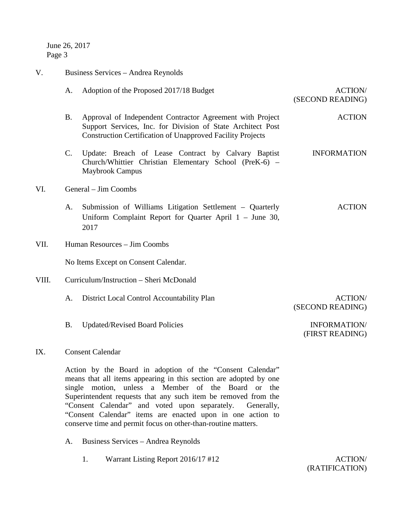June 26, 2017 Page 3

| V.    |                                                                                                                                                                                                                                                                                                                                                                                                                                                   | Business Services - Andrea Reynolds                                                                                                                                                           |                                    |  |  |
|-------|---------------------------------------------------------------------------------------------------------------------------------------------------------------------------------------------------------------------------------------------------------------------------------------------------------------------------------------------------------------------------------------------------------------------------------------------------|-----------------------------------------------------------------------------------------------------------------------------------------------------------------------------------------------|------------------------------------|--|--|
|       | A.                                                                                                                                                                                                                                                                                                                                                                                                                                                | Adoption of the Proposed 2017/18 Budget                                                                                                                                                       | <b>ACTION/</b><br>(SECOND READING) |  |  |
|       | <b>B.</b>                                                                                                                                                                                                                                                                                                                                                                                                                                         | Approval of Independent Contractor Agreement with Project<br>Support Services, Inc. for Division of State Architect Post<br><b>Construction Certification of Unapproved Facility Projects</b> | <b>ACTION</b>                      |  |  |
|       | $\mathcal{C}$ .                                                                                                                                                                                                                                                                                                                                                                                                                                   | Update: Breach of Lease Contract by Calvary Baptist<br>Church/Whittier Christian Elementary School (PreK-6) -<br><b>Maybrook Campus</b>                                                       | <b>INFORMATION</b>                 |  |  |
| VI.   |                                                                                                                                                                                                                                                                                                                                                                                                                                                   | General – Jim Coombs                                                                                                                                                                          |                                    |  |  |
|       | A.                                                                                                                                                                                                                                                                                                                                                                                                                                                | Submission of Williams Litigation Settlement – Quarterly<br>Uniform Complaint Report for Quarter April $1 -$ June 30,<br>2017                                                                 | <b>ACTION</b>                      |  |  |
| VII.  |                                                                                                                                                                                                                                                                                                                                                                                                                                                   | Human Resources - Jim Coombs                                                                                                                                                                  |                                    |  |  |
|       |                                                                                                                                                                                                                                                                                                                                                                                                                                                   | No Items Except on Consent Calendar.                                                                                                                                                          |                                    |  |  |
| VIII. |                                                                                                                                                                                                                                                                                                                                                                                                                                                   | Curriculum/Instruction - Sheri McDonald                                                                                                                                                       |                                    |  |  |
|       | A.                                                                                                                                                                                                                                                                                                                                                                                                                                                | District Local Control Accountability Plan                                                                                                                                                    | <b>ACTION/</b><br>(SECOND READING) |  |  |
|       | <b>B.</b>                                                                                                                                                                                                                                                                                                                                                                                                                                         | <b>Updated/Revised Board Policies</b>                                                                                                                                                         | INFORMATION/<br>(FIRST READING)    |  |  |
| IX.   |                                                                                                                                                                                                                                                                                                                                                                                                                                                   | <b>Consent Calendar</b>                                                                                                                                                                       |                                    |  |  |
|       | Action by the Board in adoption of the "Consent Calendar"<br>means that all items appearing in this section are adopted by one<br>single motion, unless a Member of the Board or the<br>Superintendent requests that any such item be removed from the<br>"Consent Calendar" and voted upon separately. Generally,<br>"Consent Calendar" items are enacted upon in one action to<br>conserve time and permit focus on other-than-routine matters. |                                                                                                                                                                                               |                                    |  |  |

- A. Business Services Andrea Reynolds
	- 1. Warrant Listing Report 2016/17 #12 ACTION/

(RATIFICATION)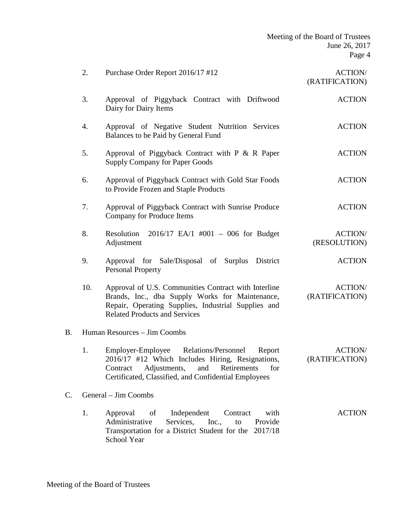| Meeting of the Board of Trustees |
|----------------------------------|
| June 26, 2017                    |
| Page 4                           |

|                            | 2.                           | Purchase Order Report 2016/17 #12                                                                                                                                                                                        | <b>ACTION/</b><br>(RATIFICATION) |
|----------------------------|------------------------------|--------------------------------------------------------------------------------------------------------------------------------------------------------------------------------------------------------------------------|----------------------------------|
|                            | 3.                           | Approval of Piggyback Contract with Driftwood<br>Dairy for Dairy Items                                                                                                                                                   | <b>ACTION</b>                    |
|                            | 4.                           | Approval of Negative Student Nutrition Services<br>Balances to be Paid by General Fund                                                                                                                                   | <b>ACTION</b>                    |
|                            | 5.                           | Approval of Piggyback Contract with P & R Paper<br><b>Supply Company for Paper Goods</b>                                                                                                                                 | <b>ACTION</b>                    |
|                            | 6.                           | Approval of Piggyback Contract with Gold Star Foods<br>to Provide Frozen and Staple Products                                                                                                                             | <b>ACTION</b>                    |
|                            | 7.                           | Approval of Piggyback Contract with Sunrise Produce<br><b>Company for Produce Items</b>                                                                                                                                  | <b>ACTION</b>                    |
|                            | 8.                           | $2016/17$ EA/1 #001 - 006 for Budget<br>Resolution<br>Adjustment                                                                                                                                                         | <b>ACTION/</b><br>(RESOLUTION)   |
|                            | 9.                           | Approval for Sale/Disposal of Surplus District<br><b>Personal Property</b>                                                                                                                                               | <b>ACTION</b>                    |
|                            | 10.                          | Approval of U.S. Communities Contract with Interline<br>Brands, Inc., dba Supply Works for Maintenance,<br>Repair, Operating Supplies, Industrial Supplies and<br><b>Related Products and Services</b>                   | <b>ACTION/</b><br>(RATIFICATION) |
| B.                         | Human Resources - Jim Coombs |                                                                                                                                                                                                                          |                                  |
|                            | 1.                           | Employer-Employee<br><b>Relations/Personnel</b><br>Report<br>2016/17 #12 Which Includes Hiring, Resignations,<br>Adjustments, and Retirements<br>Contract<br>for<br>Certificated, Classified, and Confidential Employees | <b>ACTION/</b><br>(RATIFICATION) |
| C.<br>General – Jim Coombs |                              |                                                                                                                                                                                                                          |                                  |
|                            | 1.                           | Independent<br>Approval<br>of<br>Contract<br>with<br>Provide<br>Administrative<br>Services,<br>Inc.,<br>to<br>Transportation for a District Student for the 2017/18<br><b>School Year</b>                                | <b>ACTION</b>                    |